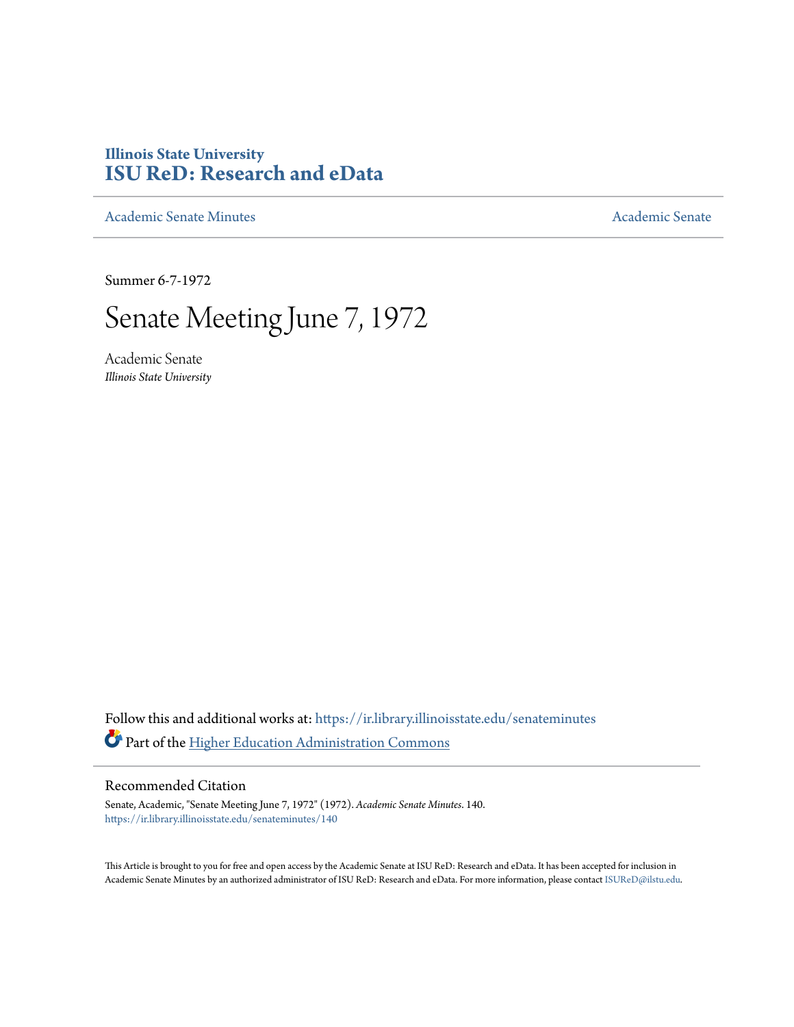## **Illinois State University [ISU ReD: Research and eData](https://ir.library.illinoisstate.edu?utm_source=ir.library.illinoisstate.edu%2Fsenateminutes%2F140&utm_medium=PDF&utm_campaign=PDFCoverPages)**

[Academic Senate Minutes](https://ir.library.illinoisstate.edu/senateminutes?utm_source=ir.library.illinoisstate.edu%2Fsenateminutes%2F140&utm_medium=PDF&utm_campaign=PDFCoverPages) [Academic Senate](https://ir.library.illinoisstate.edu/senate?utm_source=ir.library.illinoisstate.edu%2Fsenateminutes%2F140&utm_medium=PDF&utm_campaign=PDFCoverPages) Academic Senate

Summer 6-7-1972

# Senate Meeting June 7, 1972

Academic Senate *Illinois State University*

Follow this and additional works at: [https://ir.library.illinoisstate.edu/senateminutes](https://ir.library.illinoisstate.edu/senateminutes?utm_source=ir.library.illinoisstate.edu%2Fsenateminutes%2F140&utm_medium=PDF&utm_campaign=PDFCoverPages) Part of the [Higher Education Administration Commons](http://network.bepress.com/hgg/discipline/791?utm_source=ir.library.illinoisstate.edu%2Fsenateminutes%2F140&utm_medium=PDF&utm_campaign=PDFCoverPages)

### Recommended Citation

Senate, Academic, "Senate Meeting June 7, 1972" (1972). *Academic Senate Minutes*. 140. [https://ir.library.illinoisstate.edu/senateminutes/140](https://ir.library.illinoisstate.edu/senateminutes/140?utm_source=ir.library.illinoisstate.edu%2Fsenateminutes%2F140&utm_medium=PDF&utm_campaign=PDFCoverPages)

This Article is brought to you for free and open access by the Academic Senate at ISU ReD: Research and eData. It has been accepted for inclusion in Academic Senate Minutes by an authorized administrator of ISU ReD: Research and eData. For more information, please contact [ISUReD@ilstu.edu.](mailto:ISUReD@ilstu.edu)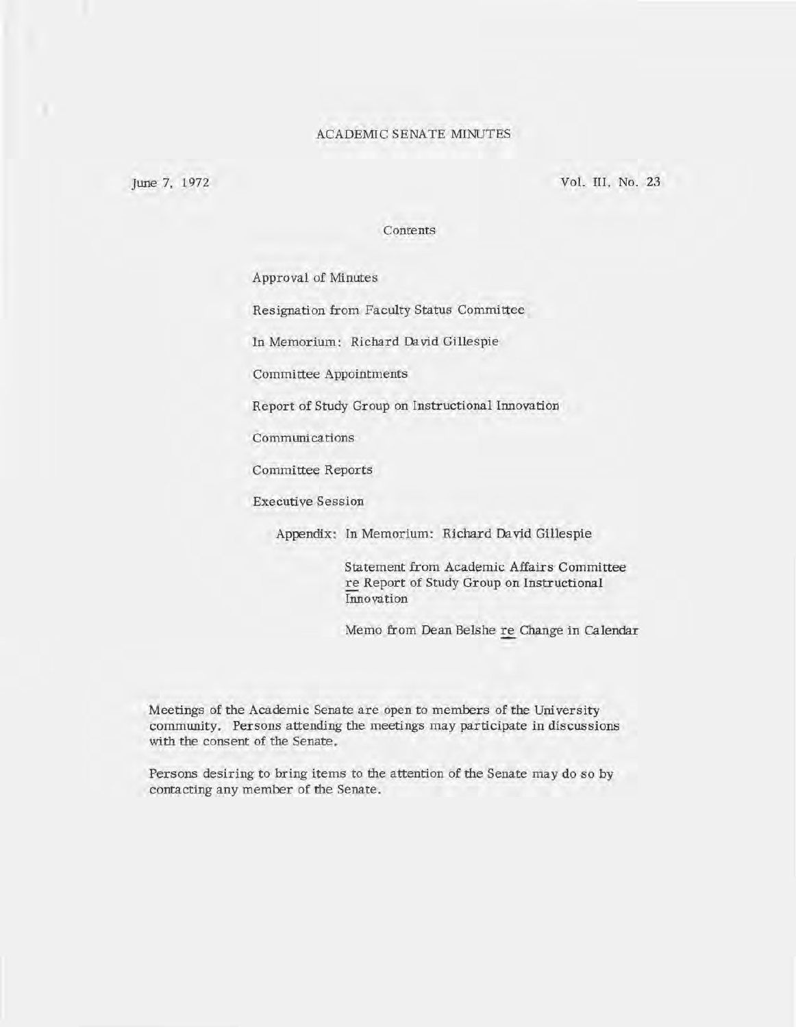#### ACADEMIC SENATE MINUTES

June 7, 1972

Vol. III, No. 23

#### Contents

Approval of Minutes

Resignation from Faculty Status Committee

In Memorium: Richard David Gillespie

Committee Appointments

Report of Study Group on Instructional Innovation

Communications

Committee Reports

Executive Session

Appendix: In Memorium: Richard David Gillespie

Statement from Academic Affairs Committee re Report of Study Group on Instructional Innovation

Memo from Dean Belshe re Change in Calendar

Meetings of the Academic Senate are open to members of the University community. Persons attending the meetings may participate in discussions with the consent of the Senate.

Persons desiring to bring items to the attention of the Senate may do so by contacting any member of the Senate.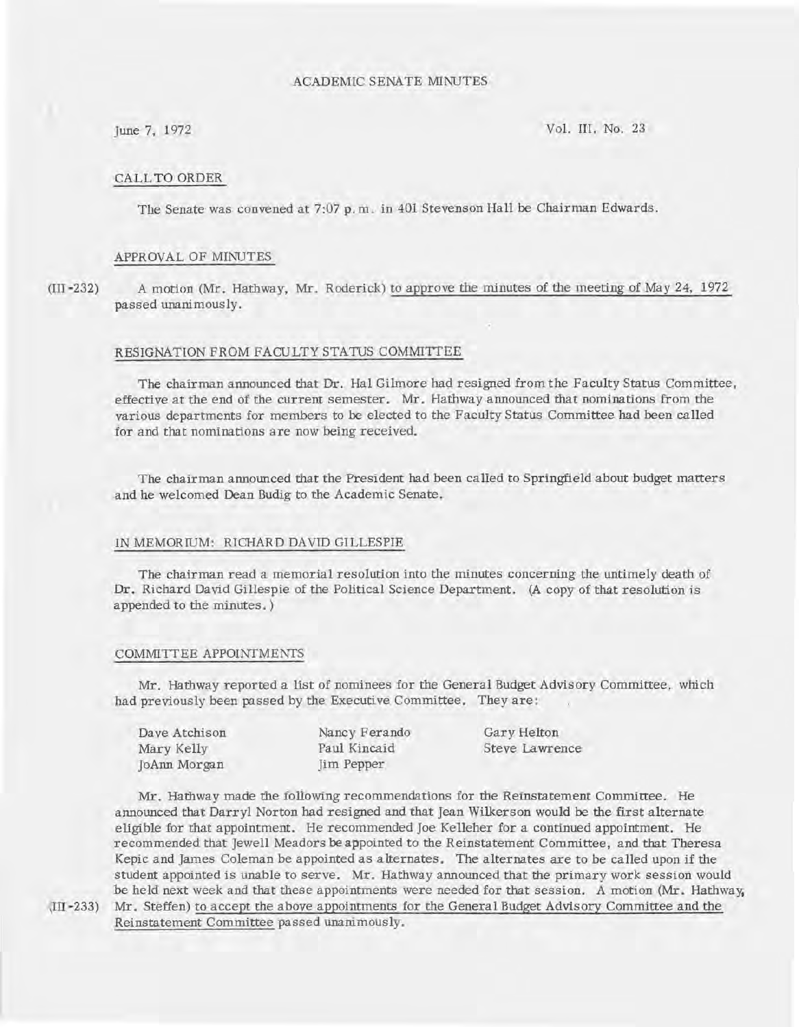#### ACADEMIC SENATE MINUTES

June 7, 1972 Vol. III, No. 23

#### CALL TO ORDER

The Senate was convened at 7:07 p. m. in 401 Stevenson Hall be Chairman Edwards.

#### APPROVAL OF MINUTES

(III -232) A motion (Mr. Hathway, Mr. Roderick) to approve the minutes of the meeting of May 24, 1972 passed unanimously.

#### RESIGNATION FROM FACULTY STATUS COMMITTEE

The chairman announced that Dr. Hal Gilmore had resigned from the Faculty Status Committee, effective at the end of the current semester. Mr. Hathway announced that nominations from the various departments for members to be elected to the Faculty Status Committee had been called for and that nominations are now being received.

The chairman announced that the President had been called to Springfield about budget matters and he welcomed Dean Budig to the Academic Senate.

#### IN MEMORIUM: RICHARD DAVID GILLESPIE

The chairman read a memorial resolution into the minutes concerning the untimely death of Dr. Richard David Gillespie of the Political Science Department. (A copy of that resolution is appended to the minutes. )

#### COMMITTEE APPOINTMENTS

Mr. Hathway reported a list of nominees for the General Budget Advisory Committee, which had previously been passed by the Executive Committee. They are:

| Dave Atchison | Nancy Ferando | Gary Helton    |  |  |  |
|---------------|---------------|----------------|--|--|--|
| Mary Kelly    | Paul Kincaid  | Steve Lawrence |  |  |  |
| JoAnn Morgan  | Jim Pepper    |                |  |  |  |

Mr. Hathway made the following recommendations for the Reinstatement Committee. He announced that Darryl Norton had resigned and that Jean Wilkerson would be the first alternate eligible for that appointment. He recommended Joe Kelleher for a continued appointment. He recommended that Jewell Meadors be appointed to the Reinstatement Committee, and that Theresa Kepic and James Coleman be appointed as alternates. The alternates are to be called upon if the student appointed is unable to serve. Mr. Hathway announced that the primary work session would be held next week and that these appointments were needed for that session. A motion (Mr. Hathway, ;m -233) Mr. Steffen) to accept the above appointments for the General Budget Advisory Committee and the

Reinstatement Committee passed unanimously.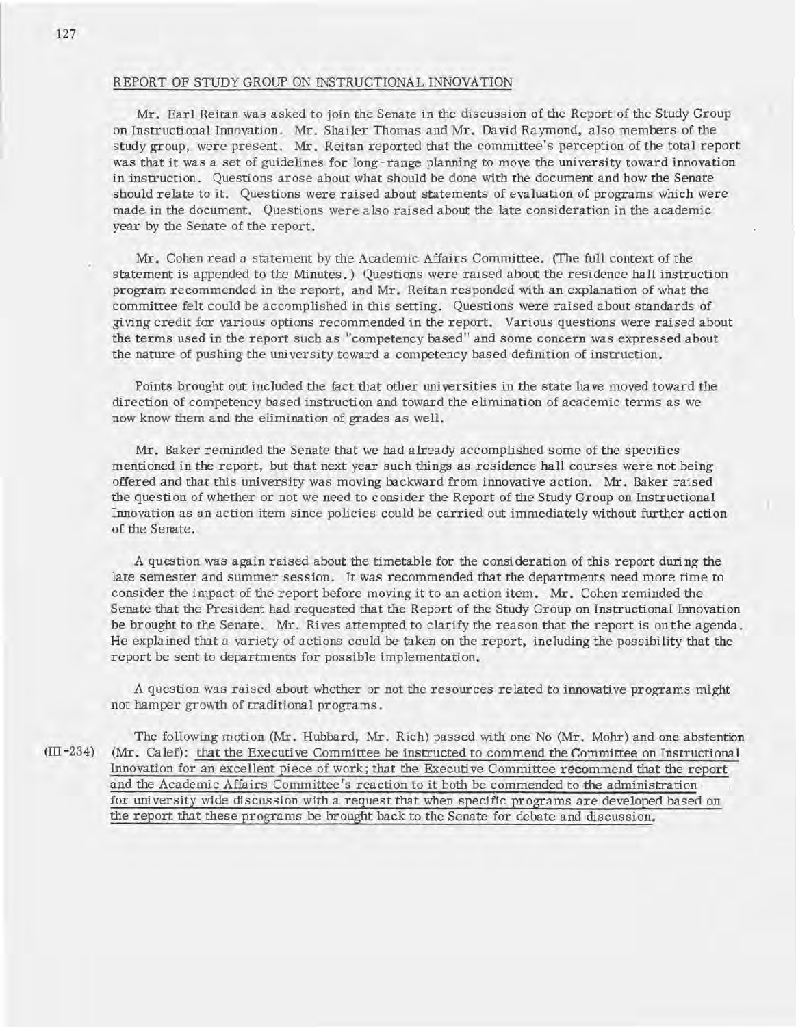#### REPORT OF STUDY GROUP ON INSTRUCTIONAL INNOVATION

Mr. Earl Reitan was asked to join the Senate in the discussion of the Report of the Study Group on Instructional Innovation. Mr. Shailer Thomas and Mr. David Raymond, also members of the study group, were present. Mr. Reitan reported that the committee's perception of the total report was that it was a set of guidelines for long-range planning to move the university toward innovation in instruction. Questions arose about what should be done with the document and how the Senate should relate to it. Questions were raised about statements of evaluation of programs which were made in the document. Questions were also raised about the late consideration in the academic year by the Senate of the report.

Mr. Cohen read a statement by the Academic Affairs Committee. (The full context of the statement is appended to the Minutes.) Questions were raised about the residence hall instruction program recommended in the report, and Mr. Reitan responded with an explanation of what the committee felt could be accomplished in this setting. Questions were raised about standards of giving credit for various options recommended in the report. Various questions were raised about the terms used in the report such as "competency based" and some concern was expressed about the nature of pushing the university toward a competency based definition of instruction.

Points brought out included the fact that other universities in the state ha ve moved toward the direction of competency based instruction and toward the elimination of academic terms as we now know them and the elimination of grades as well.

Mr. Baker reminded the Senate that we had already accomplished some of the specifics mentioned in the report, but that next year such things as residence hall courses were not being offered and that this university was moving backward from innovative action. Mr. Baker raised the question of whether or not we need to consider the Report of the Study Group on Instructional Innovation as an action item since policies could be carried out immediately without further action of the Senate.

)

A question was again raised about the timetable for the consi deration of this report duri ng the late semester and summer session. It was recommended that the departments need more time to consider the impact of the report before moving it to an action item. Mr. Cohen reminded the Senate that the President had requested that the Report of the Study Group on Instructional Innovation be brought to the Senate. Mr. Rives attempted to clarify the reason that the report is on the agenda. He explained that a variety of actions could be taken on the report, including the possibility that the report be sent to departments for possible implementation.

A question was raised about whether or not the resources related to innovative programs might not hamper growth of traditional programs.

The following motion (Mr. Hubbard, Mr. Rich) passed with one No (Mr. Mohr) and one abstention (III -234) (Mr. Ca lef): that the Executi ve Committee be instructed to commend the Committee on Instructional Innovation for an excellent piece of work; that the Executive Committee recommend that the report and the Academic Affairs Committee's reaction to it both be commended to the administration for uni versity wide discussion with a request that when specific programs are developed based on the report that these programs be brought back to the Senate for debate and discussion.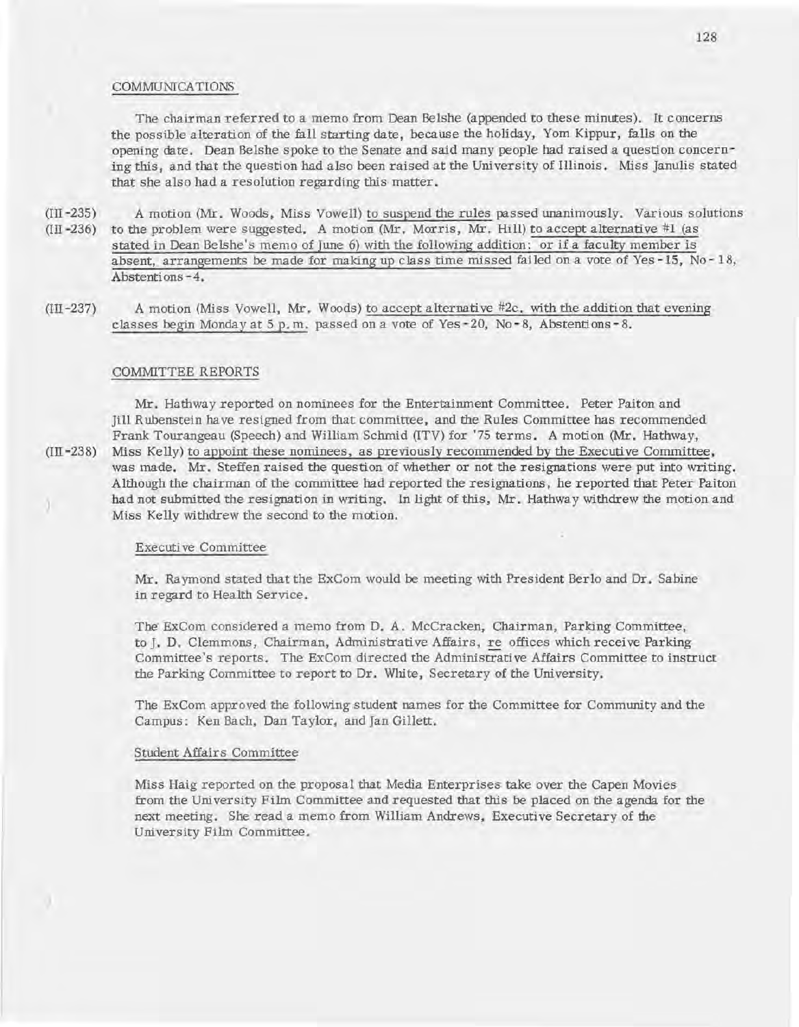#### COMMUNICA TIONS

The chairman referred to a memo from Dean Belshe (appended to these minutes). It concerns the possible alteration of the fall starting date, because the holiday, Yom Kippur, falls on the opening date. Dean Belshe spoke to the Senate and said many people had raised a question concerning this, and that the question had also been raised at the Uni versity of Illinois. Miss Janulis stated that she also had a resolution regarding this matter.

 $(III - 235)$  $(III - 236)$ A motion (Mr. Woods, Miss Vowell) to suspend the rules passed unanimously. Various solutions to the problem were suggested. A motion (Mr. Morris, Mr. Hill) to accept alternative #1 (as stated in Dean Belshe's memo of June 6) with the following addition: or if a faculty member is absent, arrangements be made for making up class time missed failed on a vote of Yes-IS, No-18, Abstenti ons - 4.

 $(III - 237)$ A motion (Miss Vowell, Mr. Woods) to accept alternative #2c. with the addition that evening classes begin Monday at 5 p. m. passed on a vote of Yes - 20, No - 8, Abstentions - 8.

#### COMMITTEE REPORTS

Mr. Hathway reported on nominees for the Entertainment Committee. Peter Paiton and Jill Rubenstein have resigned from that committee, and the Rules Committee has recommended Frank Tourangeau (Speech) and William Schmid (lTV) for '75 terms. A motion (Mr. Hathway, (Ill-238) Miss Kelly) to appoint these nominees, as previously recommended by the Executive Committee, was made. Mr. Steffen raised the question of whether or not the resignations were put into writing. Although the chairman of the committee had reported the resignations, he reported that Peter Paiton had not submitted the resignation in writing. In light of this, Mr. Hathway withdrew the motion and Miss Kelly withdrew the second to the motion.

#### Executi ve Committee

Mr. Raymond stated that the ExCom would be meeting with President Berlo and Dr. Sabine in regard to Health Service.

The ExCom considered a memo from D. A. McCracken, Chairman, Parking Committee, to J. D. Clemmons, Chairman, Administrative Affairs, re offices which receive Parking Committee's reports. The ExCom directed the Administrative Affairs Committee to instruct the Parking Committee to report to Dr. White, Secretary of the University.

The ExCom approved the following student names for the Committee for Community and the Campus : Ken Bach, Dan Taylor, and Jan Gillett.

#### Student Affairs Committee

Miss Haig reported on the proposal that Media Enterprises take over the Capen Movies from the University Film Committee and requested that this be placed on the agenda for the next meeting. She read a memo from William Andrews, Executive Secretary of the University Film Committee.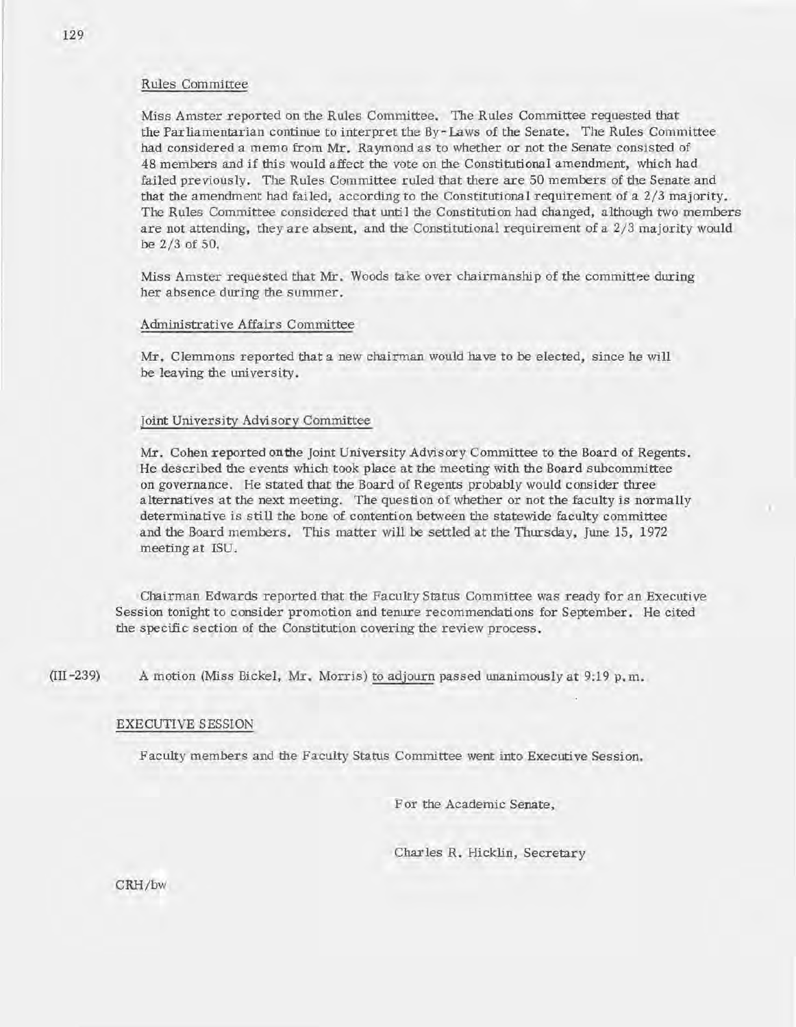#### Rules Committee

Miss Amster reported on the Rules Committee. The Rules Committee requested that the Parliamentarian continue to interpret the By- Laws of the Senate. The Rules Committee had considered a memo from Mr. Raymond as to whether or not the Senate consisted of 48 members and if this would affect the vote on the Constitutional amendment, which had failed previously. The Rules Committee ruled that there are SO members of the Senate and that the amendment had failed, according to the Constitutional requirement of a 2/3 majority. The Rules Committee considered that until the Constitution had changed, although two members are not attending, they are absent, and the Constitutional requirement of a  $2/3$  majority would be 2/3 of SO.

Miss Amster requested that Mr. Woods take over chairmanship of the committee during her absence during the summer.

#### Administrative Affairs Committee

Mr. Clemmons reported that a new chairman would have to be elected, since he will be leaving the university.

#### Joint University Advisory Committee

Mr. Cohen reported onthe Joint University Advisory Committee to the Board of Regents. He described the events which took place at the meeting with the Board subcommittee on governance. He stated that the Board of Regents probably would consider three alternatives at the next meeting. The question of whether or not the faculty is normally determinative is still the bone of contention between the statewide faculty committee and the Board members. This matter will be settled at the Thursday, June 15, 1972 meeting at ISU.

Chairman Edwards reported that the Faculty Status Committee was ready for an Executive Session tonight to consider promotion and tenure recommendations for September. He cited the specific section of the Constitution covering the review process.

(III -239) A motion (Miss Bickel, Mr. Morris) to adjourn passed unanimously at 9:19 p. m.

#### EXECUTIVE SESSION

Faculty members and the Faculty Status Committee went into Executive Session.

For the Academic Senate,

Charles R. Hicklin, Secretary

129

CRH/bw